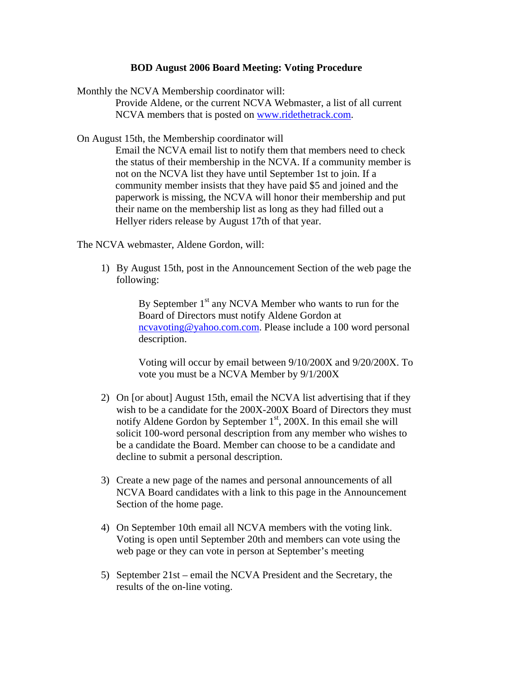## **BOD August 2006 Board Meeting: Voting Procedure**

Monthly the NCVA Membership coordinator will:

Provide Aldene, or the current NCVA Webmaster, a list of all current NCVA members that is posted on [www.ridethetrack.com](http://www.ridethetrack.com/).

On August 15th, the Membership coordinator will

Email the NCVA email list to notify them that members need to check the status of their membership in the NCVA. If a community member is not on the NCVA list they have until September 1st to join. If a community member insists that they have paid \$5 and joined and the paperwork is missing, the NCVA will honor their membership and put their name on the membership list as long as they had filled out a Hellyer riders release by August 17th of that year.

The NCVA webmaster, Aldene Gordon, will:

1) By August 15th, post in the Announcement Section of the web page the following:

> By September  $1<sup>st</sup>$  any NCVA Member who wants to run for the Board of Directors must notify Aldene Gordon at [ncvavoting@yahoo.com.com.](mailto:ncvavoting@yahoo.com.com) Please include a 100 word personal description.

Voting will occur by email between 9/10/200X and 9/20/200X. To vote you must be a NCVA Member by 9/1/200X

- 2) On [or about] August 15th, email the NCVA list advertising that if they wish to be a candidate for the 200X-200X Board of Directors they must notify Aldene Gordon by September  $1<sup>st</sup>$ , 200X. In this email she will solicit 100-word personal description from any member who wishes to be a candidate the Board. Member can choose to be a candidate and decline to submit a personal description.
- 3) Create a new page of the names and personal announcements of all NCVA Board candidates with a link to this page in the Announcement Section of the home page.
- 4) On September 10th email all NCVA members with the voting link. Voting is open until September 20th and members can vote using the web page or they can vote in person at September's meeting
- 5) September 21st email the NCVA President and the Secretary, the results of the on-line voting.